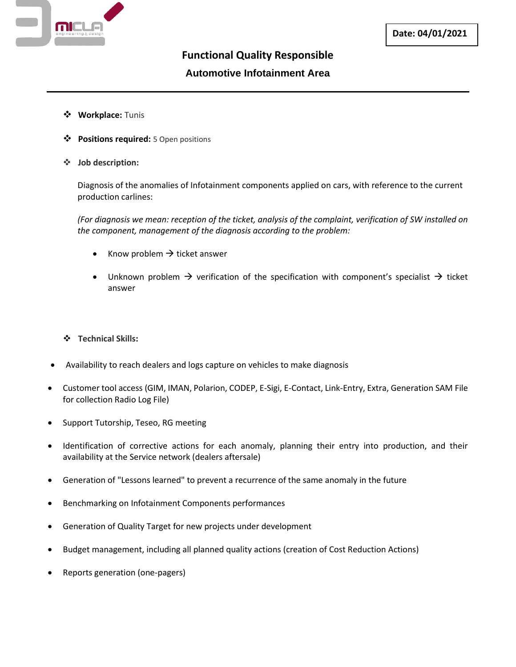

## **Functional Quality Responsible Automotive Infotainment Area**

- ❖ **Workplace:** Tunis
- ❖ **Positions required:** 5 Open positions
- ❖ **Job description:**

Diagnosis of the anomalies of Infotainment components applied on cars, with reference to the current production carlines:

*(For diagnosis we mean: reception of the ticket, analysis of the complaint, verification of SW installed on the component, management of the diagnosis according to the problem:*

- Know problem  $\rightarrow$  ticket answer
- Unknown problem  $\rightarrow$  verification of the specification with component's specialist  $\rightarrow$  ticket answer
- ❖ **Technical Skills:**
- Availability to reach dealers and logs capture on vehicles to make diagnosis
- Customer tool access (GIM, IMAN, Polarion, CODEP, E-Sigi, E-Contact, Link-Entry, Extra, Generation SAM File for collection Radio Log File)
- Support Tutorship, Teseo, RG meeting
- Identification of corrective actions for each anomaly, planning their entry into production, and their availability at the Service network (dealers aftersale)
- Generation of "Lessons learned" to prevent a recurrence of the same anomaly in the future
- Benchmarking on Infotainment Components performances
- Generation of Quality Target for new projects under development
- Budget management, including all planned quality actions (creation of Cost Reduction Actions)
- Reports generation (one-pagers)